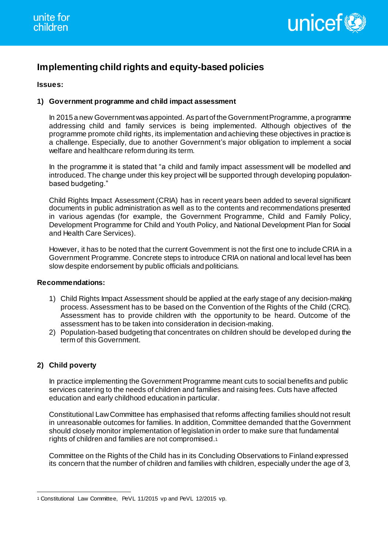

# **Implementing child rights and equity-based policies**

## **Issues:**

## **1) Government programme and child impact assessment**

In 2015 a new Government was appointed. As part of the Government Programme, a programme addressing child and family services is being implemented. Although objectives of the programme promote child rights, its implementation and achieving these objectives in practice is a challenge. Especially, due to another Government's major obligation to implement a social welfare and healthcare reform during its term.

In the programme it is stated that "a child and family impact assessment will be modelled and introduced. The change under this key project will be supported through developing populationbased budgeting."

Child Rights Impact Assessment (CRIA) has in recent years been added to several significant documents in public administration as well as to the contents and recommendations presented in various agendas (for example, the Government Programme, Child and Family Policy, Development Programme for Child and Youth Policy, and National Development Plan for Social and Health Care Services).

However, it has to be noted that the current Government is not the first one to include CRIA in a Government Programme. Concrete steps to introduce CRIA on national and local level has been slow despite endorsement by public officials and politicians.

## **Recommendations:**

- 1) Child Rights Impact Assessment should be applied at the early stage of any decision-making process. Assessment has to be based on the Convention of the Rights of the Child (CRC). Assessment has to provide children with the opportunity to be heard. Outcome of the assessment has to be taken into consideration in decision-making.
- 2) Population-based budgeting that concentrates on children should be developed during the term of this Government.

# **2) Child poverty**

In practice implementing the Government Programme meant cuts to social benefits and public services catering to the needs of children and families and raising fees. Cuts have affected education and early childhood education in particular.

Constitutional Law Committee has emphasised that reforms affecting families should not result in unreasonable outcomes for families. In addition, Committee demanded that the Government should closely monitor implementation of legislation in order to make sure that fundamental rights of children and families are not compromised.<sup>1</sup>

Committee on the Rights of the Child has in its Concluding Observations to Finland expressed its concern that the number of children and families with children, especially under the age of 3,

<sup>-</sup>1 Constitutional Law Committee, PeVL 11/2015 vp and PeVL 12/2015 vp.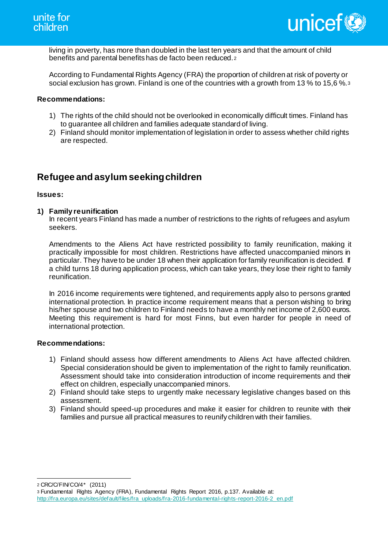

living in poverty, has more than doubled in the last ten years and that the amount of child benefits and parental benefits has de facto been reduced. <sup>2</sup>

According to Fundamental Rights Agency (FRA) the proportion of children at risk of poverty or social exclusion has grown. Finland is one of the countries with a growth from 13 % to 15,6 %.<sup>3</sup>

#### **Recommendations:**

- 1) The rights of the child should not be overlooked in economically difficult times. Finland has to guarantee all children and families adequate standard of living.
- 2) Finland should monitor implementation of legislation in order to assess whether child rights are respected.

# **Refugee and asylum seeking children**

#### **Issues:**

### **1) Family reunification**

In recent years Finland has made a number of restrictions to the rights of refugees and asylum seekers.

Amendments to the Aliens Act have restricted possibility to family reunification, making it practically impossible for most children. Restrictions have affected unaccompanied minors in particular. They have to be under 18 when their application for family reunification is decided. If a child turns 18 during application process, which can take years, they lose their right to family reunification.

In 2016 income requirements were tightened, and requirements apply also to persons granted international protection. In practice income requirement means that a person wishing to bring his/her spouse and two children to Finland needs to have a monthly net income of 2,600 euros. Meeting this requirement is hard for most Finns, but even harder for people in need of international protection.

#### **Recommendations:**

- 1) Finland should assess how different amendments to Aliens Act have affected children. Special consideration should be given to implementation of the right to family reunification. Assessment should take into consideration introduction of income requirements and their effect on children, especially unaccompanied minors.
- 2) Finland should take steps to urgently make necessary legislative changes based on this assessment.
- 3) Finland should speed-up procedures and make it easier for children to reunite with their families and pursue all practical measures to reunify children with their families.

-2 CRC/C/FIN/CO/4\* (2011)

<sup>3</sup> Fundamental Rights Agency (FRA), Fundamental Rights Report 2016, p.137. Available at: http://fra.europa.eu/sites/default/files/fra\_uploads/fra-2016-fundamental-rights-report-2016-2\_en.pdf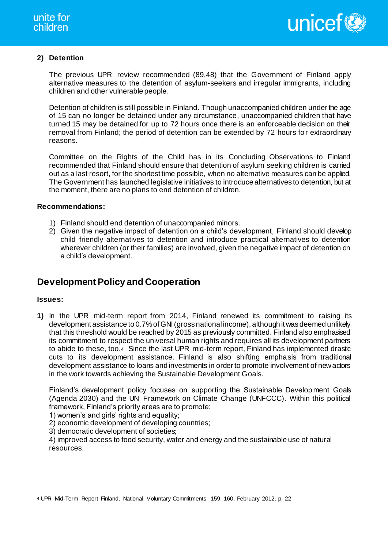

## **2) Detention**

The previous UPR review recommended (89.48) that the Government of Finland apply alternative measures to the detention of asylum-seekers and irregular immigrants, including children and other vulnerable people.

Detention of children is still possible in Finland. Though unaccompanied children under the age of 15 can no longer be detained under any circumstance, unaccompanied children that have turned 15 may be detained for up to 72 hours once there is an enforceable decision on their removal from Finland; the period of detention can be extended by 72 hours for extraordinary reasons.

Committee on the Rights of the Child has in its Concluding Observations to Finland recommended that Finland should ensure that detention of asylum seeking children is carried out as a last resort, for the shortest time possible, when no alternative measures can be applied. The Government has launched legislative initiatives to introduce alternatives to detention, but at the moment, there are no plans to end detention of children.

### **Recommendations:**

- 1) Finland should end detention of unaccompanied minors.
- 2) Given the negative impact of detention on a child's development, Finland should develop child friendly alternatives to detention and introduce practical alternatives to detention wherever children (or their families) are involved, given the negative impact of detention on a child's development.

# **Development Policy and Cooperation**

#### **Issues:**

**1)** In the UPR mid-term report from 2014, Finland renewed its commitment to raising its development assistance to 0.7% of GNI (gross national income), although it was deemed unlikely that this threshold would be reached by 2015 as previously committed. Finland also emphasised its commitment to respect the universal human rights and requires all its development partners to abide to these, too.4 Since the last UPR mid-term report, Finland has implemented drastic cuts to its development assistance. Finland is also shifting emphasis from traditional development assistance to loans and investments in order to promote involvement of new actors in the work towards achieving the Sustainable Development Goals.

Finland's development policy focuses on supporting the Sustainable Development Goals (Agenda 2030) and the UN Framework on Climate Change (UNFCCC). Within this political framework, Finland's priority areas are to promote:

1) women's and girls' rights and equality;

2) economic development of developing countries;

3) democratic development of societies;

4) improved access to food security, water and energy and the sustainable use of natural resources.

<sup>-</sup>4 UPR Mid-Term Report Finland, National Voluntary Commitments 159, 160, February 2012, p. 22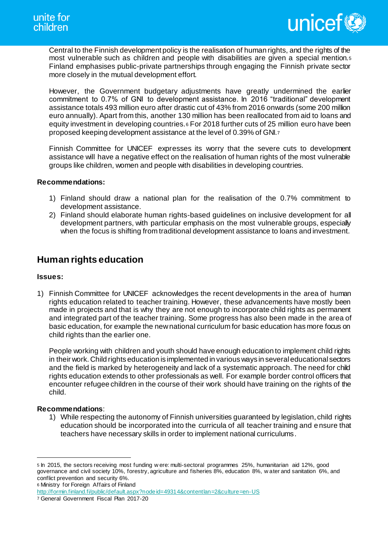

Central to the Finnish development policy is the realisation of human rights, and the rights of the most vulnerable such as children and people with disabilities are given a special mention.<sup>5</sup> Finland emphasises public-private partnerships through engaging the Finnish private sector more closely in the mutual development effort.

However, the Government budgetary adjustments have greatly undermined the earlier commitment to 0.7% of GNI to development assistance. In 2016 "traditional" development assistance totals 493 million euro after drastic cut of 43% from 2016 onwards (some 200 million euro annually). Apart from this, another 130 million has been reallocated from aid to loans and equity investment in developing countries.<sup>6</sup> For 2018 further cuts of 25 million euro have been proposed keeping development assistance at the level of 0.39% of GNI.<sup>7</sup>

Finnish Committee for UNICEF expresses its worry that the severe cuts to development assistance will have a negative effect on the realisation of human rights of the most vulnerable groups like children, women and people with disabilities in developing countries.

### **Recommendations:**

- 1) Finland should draw a national plan for the realisation of the 0.7% commitment to development assistance.
- 2) Finland should elaborate human rights-based guidelines on inclusive development for all development partners, with particular emphasis on the most vulnerable groups, especially when the focus is shifting from traditional development assistance to loans and investment.

# **Human rights education**

#### **Issues:**

1) Finnish Committee for UNICEF acknowledges the recent developments in the area of human rights education related to teacher training. However, these advancements have mostly been made in projects and that is why they are not enough to incorporate child rights as permanent and integrated part of the teacher training. Some progress has also been made in the area of basic education, for example the new national curriculum for basic education has more focus on child rights than the earlier one.

People working with children and youth should have enough education to implement child rights in their work. Child rights education is implemented in various ways in several educational sectors and the field is marked by heterogeneity and lack of a systematic approach. The need for child rights education extends to other professionals as well. For example border control officers that encounter refugee children in the course of their work should have training on the rights of the child.

#### **Recommendations**:

-

1) While respecting the autonomy of Finnish universities guaranteed by legislation, child rights education should be incorporated into the curricula of all teacher training and ensure that teachers have necessary skills in order to implement national curriculums.

6 Ministry for Foreign Affairs of Finland

<sup>5</sup> In 2015, the sectors receiving most funding w ere: multi-sectoral programmes 25%, humanitarian aid 12%, good governance and civil society 10%, forestry, agriculture and fisheries 8%, education 8%, w ater and sanitation 6%, and conflict prevention and security 6%.

http://formin.finland.fi/public/default.aspx?nodeid=49314&contentlan=2&culture=en-US

<sup>7</sup> General Government Fiscal Plan 2017-20